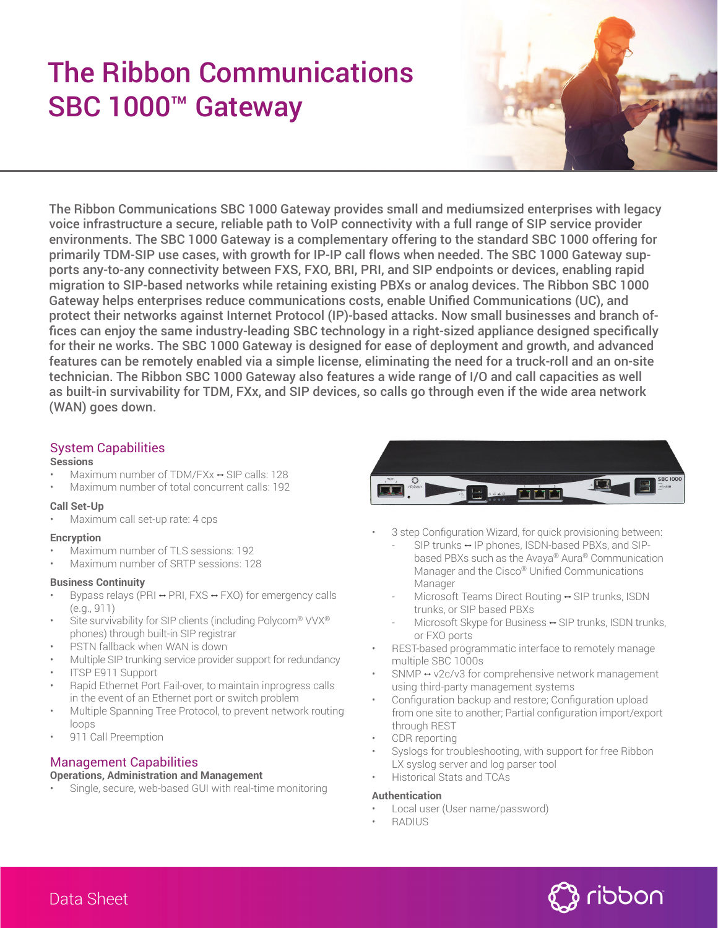# The Ribbon Communications SBC 1000™ Gateway



The Ribbon Communications SBC 1000 Gateway provides small and mediumsized enterprises with legacy voice infrastructure a secure, reliable path to VoIP connectivity with a full range of SIP service provider environments. The SBC 1000 Gateway is a complementary offering to the standard SBC 1000 offering for primarily TDM-SIP use cases, with growth for IP-IP call flows when needed. The SBC 1000 Gateway supports any-to-any connectivity between FXS, FXO, BRI, PRI, and SIP endpoints or devices, enabling rapid migration to SIP-based networks while retaining existing PBXs or analog devices. The Ribbon SBC 1000 Gateway helps enterprises reduce communications costs, enable Unified Communications (UC), and protect their networks against Internet Protocol (IP)-based attacks. Now small businesses and branch offices can enjoy the same industry-leading SBC technology in a right-sized appliance designed specifically for their ne works. The SBC 1000 Gateway is designed for ease of deployment and growth, and advanced features can be remotely enabled via a simple license, eliminating the need for a truck-roll and an on-site technician. The Ribbon SBC 1000 Gateway also features a wide range of I/O and call capacities as well as built-in survivability for TDM, FXx, and SIP devices, so calls go through even if the wide area network (WAN) goes down.

# System Capabilities

#### **Sessions**

- Maximum number of TDM/FXx μ SIP calls: 128
- Maximum number of total concurrent calls: 192

#### **Call Set-Up**

• Maximum call set-up rate: 4 cps

#### **Encryption**

- Maximum number of TLS sessions: 192
- Maximum number of SRTP sessions: 128

#### **Business Continuity**

- Bypass relays (PRI  $\leftrightarrow$  PRI, FXS  $\leftrightarrow$  FXO) for emergency calls (e.g., 911)
- Site survivability for SIP clients (including Polycom® VVX® phones) through built-in SIP registrar
- PSTN fallback when WAN is down
- Multiple SIP trunking service provider support for redundancy
- ITSP E911 Support
- Rapid Ethernet Port Fail-over, to maintain inprogress calls in the event of an Ethernet port or switch problem
- Multiple Spanning Tree Protocol, to prevent network routing loops
- 911 Call Preemption

# Management Capabilities

#### **Operations, Administration and Management**

Single, secure, web-based GUI with real-time monitoring



- 3 step Configuration Wizard, for quick provisioning between:
	- SIP trunks ↔ IP phones, ISDN-based PBXs, and SIP based PBXs such as the Avaya® Aura® Communication Manager and the Cisco® Unified Communications Manager
	- Microsoft Teams Direct Routing ↔ SIP trunks, ISDN trunks, or SIP based PBXs
	- Microsoft Skype for Business  $\leftrightarrow$  SIP trunks, ISDN trunks, or FXO ports
- REST-based programmatic interface to remotely manage multiple SBC 1000s
- $SNMP \leftrightarrow V2c/V3$  for comprehensive network management using third-party management systems
- Configuration backup and restore; Configuration upload from one site to another; Partial configuration import/export through REST
- CDR reporting
- Syslogs for troubleshooting, with support for free Ribbon LX syslog server and log parser tool
- Historical Stats and TCAs

#### **Authentication**

- Local user (User name/password)
- RADIUS

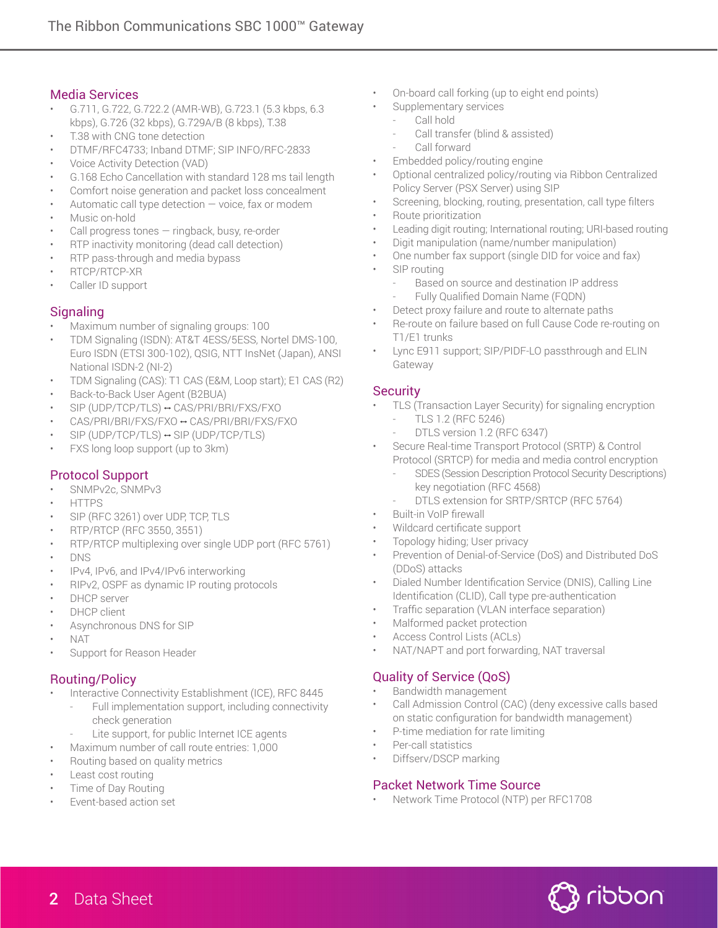## Media Services

- G.711, G.722, G.722.2 (AMR-WB), G.723.1 (5.3 kbps, 6.3 kbps), G.726 (32 kbps), G.729A/B (8 kbps), T.38
- T.38 with CNG tone detection
- DTMF/RFC4733; Inband DTMF; SIP INFO/RFC-2833
- Voice Activity Detection (VAD)
- G.168 Echo Cancellation with standard 128 ms tail length
- Comfort noise generation and packet loss concealment
- Automatic call type detection  $-$  voice, fax or modem
- Music on-hold
- Call progress tones ringback, busy, re-order
- RTP inactivity monitoring (dead call detection)
- RTP pass-through and media bypass
- RTCP/RTCP-XR
- Caller ID support

# **Signaling**

- Maximum number of signaling groups: 100
- TDM Signaling (ISDN): AT&T 4ESS/5ESS, Nortel DMS-100, Euro ISDN (ETSI 300-102), QSIG, NTT InsNet (Japan), ANSI National ISDN-2 (NI-2)
- TDM Signaling (CAS): T1 CAS (E&M, Loop start); E1 CAS (R2)
- Back-to-Back User Agent (B2BUA)
- SIP (UDP/TCP/TLS) μ CAS/PRI/BRI/FXS/FXO
- CAS/PRI/BRI/FXS/FXO μ CAS/PRI/BRI/FXS/FXO
- $SIP$  (UDP/TCP/TLS)  $\rightarrow$  SIP (UDP/TCP/TLS)
- FXS long loop support (up to 3km)

# Protocol Support

- SNMPv2c, SNMPv3
- HTTPS
- SIP (RFC 3261) over UDP, TCP, TLS
- RTP/RTCP (RFC 3550, 3551)
- RTP/RTCP multiplexing over single UDP port (RFC 5761)
- DNS
- IPv4, IPv6, and IPv4/IPv6 interworking
- RIPv2, OSPF as dynamic IP routing protocols
- DHCP server
- DHCP client
- Asynchronous DNS for SIP
- NAT
- Support for Reason Header

#### Routing/Policy

- Interactive Connectivity Establishment (ICE), RFC 8445
	- Full implementation support, including connectivity check generation
		- Lite support, for public Internet ICE agents
	- Maximum number of call route entries: 1,000
- Routing based on quality metrics
- Least cost routing
- Time of Day Routing
- Event-based action set
- On-board call forking (up to eight end points)
- Supplementary services
	- Call hold
	- Call transfer (blind & assisted)
	- Call forward
- Embedded policy/routing engine
- Optional centralized policy/routing via Ribbon Centralized Policy Server (PSX Server) using SIP
- Screening, blocking, routing, presentation, call type filters
- Route prioritization
- Leading digit routing; International routing; URI-based routing
- Digit manipulation (name/number manipulation)
- One number fax support (single DID for voice and fax)
- SIP routing
	- Based on source and destination IP address
	- Fully Qualified Domain Name (FQDN)
- Detect proxy failure and route to alternate paths
- Re-route on failure based on full Cause Code re-routing on T1/E1 trunks
- Lync E911 support; SIP/PIDF-LO passthrough and ELIN Gateway

# **Security**

- TLS (Transaction Layer Security) for signaling encryption - TLS 1.2 (RFC 5246)
	- DTLS version 1.2 (RFC 6347)
- Secure Real-time Transport Protocol (SRTP) & Control Protocol (SRTCP) for media and media control encryption
	- SDES (Session Description Protocol Security Descriptions) key negotiation (RFC 4568)
	- DTLS extension for SRTP/SRTCP (RFC 5764)
- **Built-in VoIP firewall**
- Wildcard certificate support
- Topology hiding; User privacy
- Prevention of Denial-of-Service (DoS) and Distributed DoS (DDoS) attacks
- Dialed Number Identification Service (DNIS), Calling Line Identification (CLID), Call type pre-authentication
- Traffic separation (VLAN interface separation)
- Malformed packet protection
- Access Control Lists (ACLs)
- NAT/NAPT and port forwarding, NAT traversal

# Quality of Service (QoS)

- Bandwidth management
- Call Admission Control (CAC) (deny excessive calls based on static configuration for bandwidth management)
- P-time mediation for rate limiting
- Per-call statistics
- Diffserv/DSCP marking

#### Packet Network Time Source

• Network Time Protocol (NTP) per RFC1708

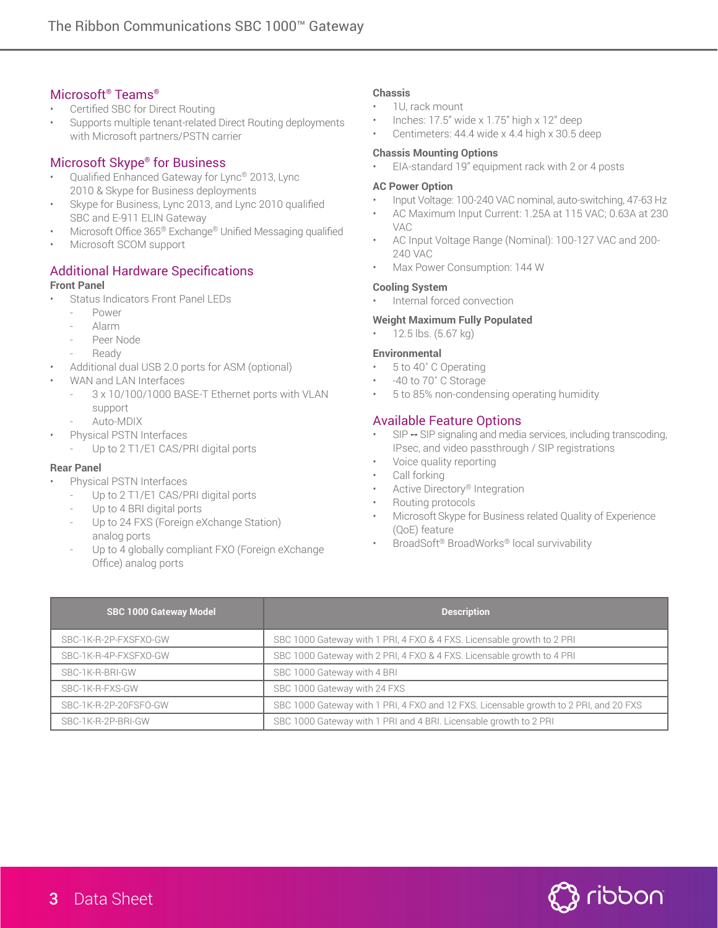# Microsoft® Teams®

- Certified SBC for Direct Routing
- Supports multiple tenant-related Direct Routing deployments with Microsoft partners/PSTN carrier

# Microsoft Skype® for Business

- Qualified Enhanced Gateway for Lync® 2013, Lync 2010 & Skype for Business deployments
- Skype for Business, Lync 2013, and Lync 2010 qualified SBC and E-911 ELIN Gateway
- Microsoft Office 365<sup>®</sup> Exchange<sup>®</sup> Unified Messaging qualified
- Microsoft SCOM support

# **Additional Hardware Specifications**

#### **Front Panel**

- Status Indicators Front Panel LEDs
	- Power
	- Alarm
	- Peer Node
	- **Ready**
- Additional dual USB 2.0 ports for ASM (optional)
- WAN and LAN Interfaces
	- 3 x 10/100/1000 BASE-T Ethernet ports with VLAN support
	- Auto-MDIX
- Physical PSTN Interfaces
	- Up to 2 T1/E1 CAS/PRI digital ports

#### **Rear Panel**

- Physical PSTN Interfaces
	- Up to 2 T1/E1 CAS/PRI digital ports
	- Up to 4 BRI digital ports
	- Up to 24 FXS (Foreign eXchange Station) analog ports
	- Up to 4 globally compliant FXO (Foreign eXchange Office) analog ports

#### **Chassis**

- 1U, rack mount
- Inches: 17.5" wide x 1.75" high x 12" deep
- Centimeters: 44.4 wide x 4.4 high x 30.5 deep

#### **Chassis Mounting Options**

• EIA-standard 19" equipment rack with 2 or 4 posts

#### **AC Power Option**

- Input Voltage: 100-240 VAC nominal, auto-switching, 47-63 Hz
- AC Maximum Input Current: 1.25A at 115 VAC; 0.63A at 230 VAC
- AC Input Voltage Range (Nominal): 100-127 VAC and 200- 240 VAC
- Max Power Consumption: 144 W

#### **Cooling System**

• Internal forced convection

#### **Weight Maximum Fully Populated**

• 12.5 lbs. (5.67 kg)

#### **Environmental**

- 5 to 40˚ C Operating
- -40 to 70˚ C Storage
- 5 to 85% non-condensing operating humidity

# Available Feature Options

- $SIP \rightarrow SP$  signaling and media services, including transcoding, IPsec, and video passthrough / SIP registrations
- Voice quality reporting
- Call forking
- Active Directory® Integration
- Routing protocols
- MicrosoftSkype for Business related Quality of Experience (QoE) feature
- BroadSoft® BroadWorks® local survivability

| <b>SBC 1000 Gateway Model</b> | <b>Description</b>                                                                    |
|-------------------------------|---------------------------------------------------------------------------------------|
| SBC-1K-R-2P-FXSFX0-GW         | SBC 1000 Gateway with 1 PRI, 4 FXO & 4 FXS. Licensable growth to 2 PRI                |
| SBC-1K-R-4P-FXSFXO-GW         | SBC 1000 Gateway with 2 PRI, 4 FXO & 4 FXS. Licensable growth to 4 PRI                |
| SBC-1K-R-BRI-GW               | SBC 1000 Gateway with 4 BRI                                                           |
| SBC-1K-R-FXS-GW               | SBC 1000 Gateway with 24 FXS                                                          |
| SBC-1K-R-2P-20FSFO-GW         | SBC 1000 Gateway with 1 PRI, 4 FXO and 12 FXS. Licensable growth to 2 PRI, and 20 FXS |
| SBC-1K-R-2P-BRI-GW            | SBC 1000 Gateway with 1 PRI and 4 BRI. Licensable growth to 2 PRI                     |